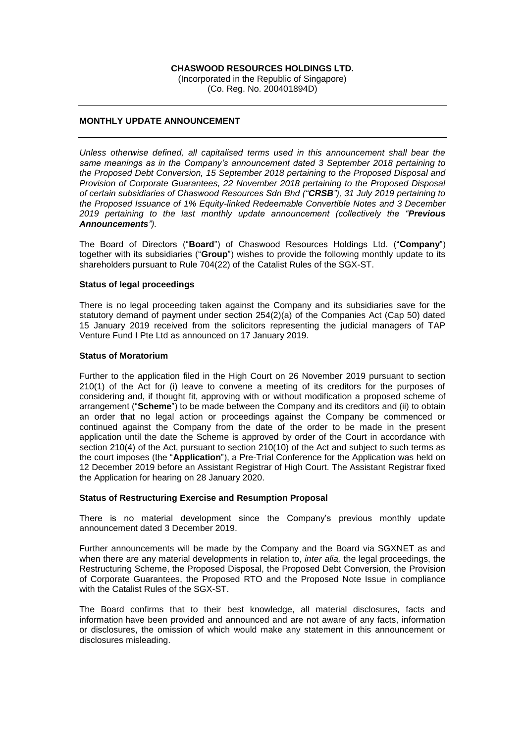### **CHASWOOD RESOURCES HOLDINGS LTD.**

(Incorporated in the Republic of Singapore) (Co. Reg. No. 200401894D)

## **MONTHLY UPDATE ANNOUNCEMENT**

*Unless otherwise defined, all capitalised terms used in this announcement shall bear the same meanings as in the Company's announcement dated 3 September 2018 pertaining to the Proposed Debt Conversion, 15 September 2018 pertaining to the Proposed Disposal and Provision of Corporate Guarantees, 22 November 2018 pertaining to the Proposed Disposal of certain subsidiaries of Chaswood Resources Sdn Bhd ("CRSB"), 31 July 2019 pertaining to the Proposed Issuance of 1% Equity-linked Redeemable Convertible Notes and 3 December 2019 pertaining to the last monthly update announcement (collectively the "Previous Announcements").*

The Board of Directors ("**Board**") of Chaswood Resources Holdings Ltd. ("**Company**") together with its subsidiaries ("**Group**") wishes to provide the following monthly update to its shareholders pursuant to Rule 704(22) of the Catalist Rules of the SGX-ST.

### **Status of legal proceedings**

There is no legal proceeding taken against the Company and its subsidiaries save for the statutory demand of payment under section 254(2)(a) of the Companies Act (Cap 50) dated 15 January 2019 received from the solicitors representing the judicial managers of TAP Venture Fund I Pte Ltd as announced on 17 January 2019.

### **Status of Moratorium**

Further to the application filed in the High Court on 26 November 2019 pursuant to section 210(1) of the Act for (i) leave to convene a meeting of its creditors for the purposes of considering and, if thought fit, approving with or without modification a proposed scheme of arrangement ("**Scheme**") to be made between the Company and its creditors and (ii) to obtain an order that no legal action or proceedings against the Company be commenced or continued against the Company from the date of the order to be made in the present application until the date the Scheme is approved by order of the Court in accordance with section 210(4) of the Act, pursuant to section 210(10) of the Act and subject to such terms as the court imposes (the "**Application**"), a Pre-Trial Conference for the Application was held on 12 December 2019 before an Assistant Registrar of High Court. The Assistant Registrar fixed the Application for hearing on 28 January 2020.

### **Status of Restructuring Exercise and Resumption Proposal**

There is no material development since the Company's previous monthly update announcement dated 3 December 2019.

Further announcements will be made by the Company and the Board via SGXNET as and when there are any material developments in relation to, *inter alia,* the legal proceedings, the Restructuring Scheme, the Proposed Disposal, the Proposed Debt Conversion, the Provision of Corporate Guarantees, the Proposed RTO and the Proposed Note Issue in compliance with the Catalist Rules of the SGX-ST.

The Board confirms that to their best knowledge, all material disclosures, facts and information have been provided and announced and are not aware of any facts, information or disclosures, the omission of which would make any statement in this announcement or disclosures misleading.